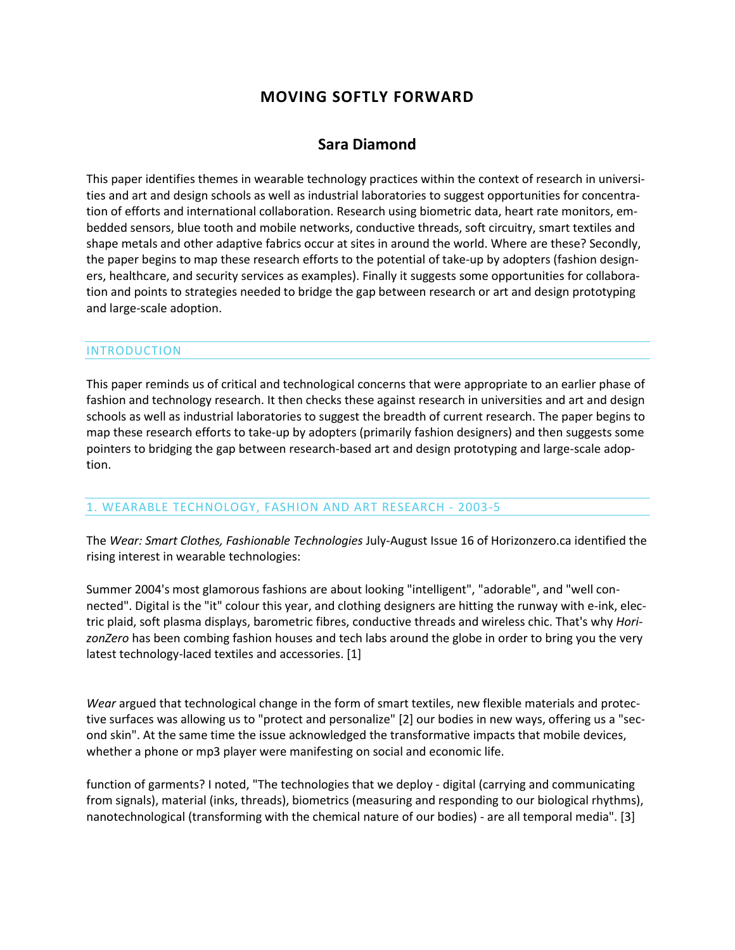# **MOVING SOFTLY FORWARD**

## **Sara Diamond**

This paper identifies themes in wearable technology practices within the context of research in universities and art and design schools as well as industrial laboratories to suggest opportunities for concentration of efforts and international collaboration. Research using biometric data, heart rate monitors, embedded sensors, blue tooth and mobile networks, conductive threads, soft circuitry, smart textiles and shape metals and other adaptive fabrics occur at sites in around the world. Where are these? Secondly, the paper begins to map these research efforts to the potential of take-up by adopters (fashion designers, healthcare, and security services as examples). Finally it suggests some opportunities for collaboration and points to strategies needed to bridge the gap between research or art and design prototyping and large-scale adoption.

### INTRODUCTION

This paper reminds us of critical and technological concerns that were appropriate to an earlier phase of fashion and technology research. It then checks these against research in universities and art and design schools as well as industrial laboratories to suggest the breadth of current research. The paper begins to map these research efforts to take-up by adopters (primarily fashion designers) and then suggests some pointers to bridging the gap between research-based art and design prototyping and large-scale adoption.

### 1. WEARABLE TECHNOLOGY, FASHION AND ART RESEARCH - 2003-5

The *Wear: Smart Clothes, Fashionable Technologies* July-August Issue 16 of Horizonzero.ca identified the rising interest in wearable technologies:

Summer 2004's most glamorous fashions are about looking "intelligent", "adorable", and "well connected". Digital is the "it" colour this year, and clothing designers are hitting the runway with e-ink, electric plaid, soft plasma displays, barometric fibres, conductive threads and wireless chic. That's why *HorizonZero* has been combing fashion houses and tech labs around the globe in order to bring you the very latest technology-laced textiles and accessories. [1]

*Wear* argued that technological change in the form of smart textiles, new flexible materials and protective surfaces was allowing us to "protect and personalize" [2] our bodies in new ways, offering us a "second skin". At the same time the issue acknowledged the transformative impacts that mobile devices, whether a phone or mp3 player were manifesting on social and economic life.

function of garments? I noted, "The technologies that we deploy - digital (carrying and communicating from signals), material (inks, threads), biometrics (measuring and responding to our biological rhythms), nanotechnological (transforming with the chemical nature of our bodies) - are all temporal media". [3]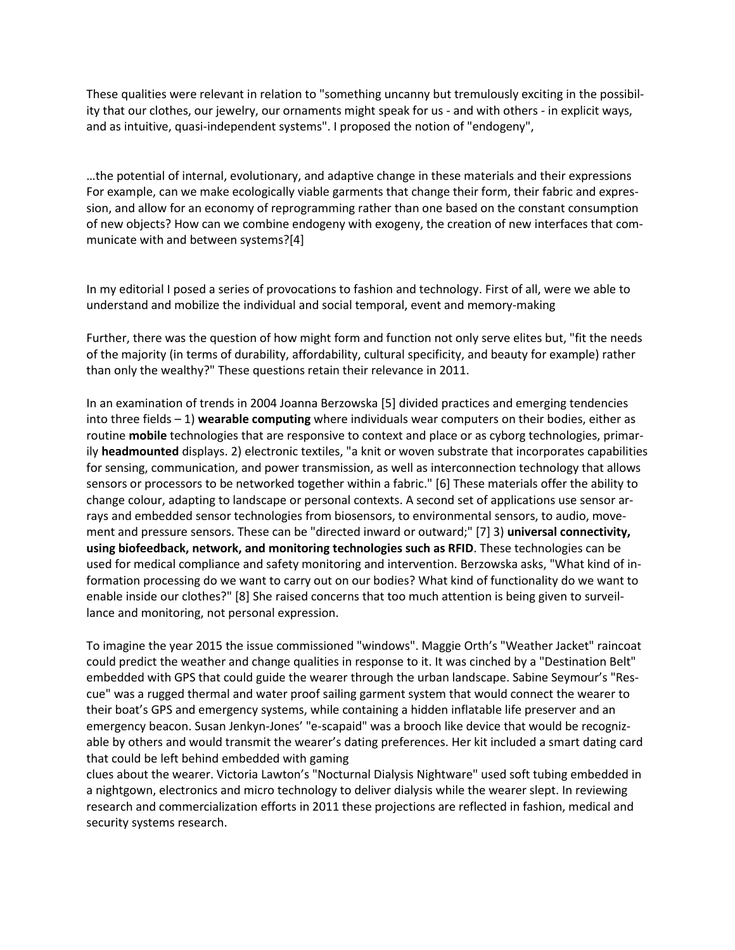These qualities were relevant in relation to "something uncanny but tremulously exciting in the possibility that our clothes, our jewelry, our ornaments might speak for us - and with others - in explicit ways, and as intuitive, quasi-independent systems". I proposed the notion of "endogeny",

…the potential of internal, evolutionary, and adaptive change in these materials and their expressions For example, can we make ecologically viable garments that change their form, their fabric and expression, and allow for an economy of reprogramming rather than one based on the constant consumption of new objects? How can we combine endogeny with exogeny, the creation of new interfaces that communicate with and between systems?[4]

In my editorial I posed a series of provocations to fashion and technology. First of all, were we able to understand and mobilize the individual and social temporal, event and memory-making

Further, there was the question of how might form and function not only serve elites but, "fit the needs of the majority (in terms of durability, affordability, cultural specificity, and beauty for example) rather than only the wealthy?" These questions retain their relevance in 2011.

In an examination of trends in 2004 Joanna Berzowska [5] divided practices and emerging tendencies into three fields – 1) **wearable computing** where individuals wear computers on their bodies, either as routine **mobile** technologies that are responsive to context and place or as cyborg technologies, primarily **headmounted** displays. 2) electronic textiles, "a knit or woven substrate that incorporates capabilities for sensing, communication, and power transmission, as well as interconnection technology that allows sensors or processors to be networked together within a fabric." [6] These materials offer the ability to change colour, adapting to landscape or personal contexts. A second set of applications use sensor arrays and embedded sensor technologies from biosensors, to environmental sensors, to audio, movement and pressure sensors. These can be "directed inward or outward;" [7] 3) **universal connectivity, using biofeedback, network, and monitoring technologies such as RFID**. These technologies can be used for medical compliance and safety monitoring and intervention. Berzowska asks, "What kind of information processing do we want to carry out on our bodies? What kind of functionality do we want to enable inside our clothes?" [8] She raised concerns that too much attention is being given to surveillance and monitoring, not personal expression.

To imagine the year 2015 the issue commissioned "windows". Maggie Orth's "Weather Jacket" raincoat could predict the weather and change qualities in response to it. It was cinched by a "Destination Belt" embedded with GPS that could guide the wearer through the urban landscape. Sabine Seymour's "Rescue" was a rugged thermal and water proof sailing garment system that would connect the wearer to their boat's GPS and emergency systems, while containing a hidden inflatable life preserver and an emergency beacon. Susan Jenkyn-Jones' "e-scapaid" was a brooch like device that would be recognizable by others and would transmit the wearer's dating preferences. Her kit included a smart dating card that could be left behind embedded with gaming

clues about the wearer. Victoria Lawton's "Nocturnal Dialysis Nightware" used soft tubing embedded in a nightgown, electronics and micro technology to deliver dialysis while the wearer slept. In reviewing research and commercialization efforts in 2011 these projections are reflected in fashion, medical and security systems research.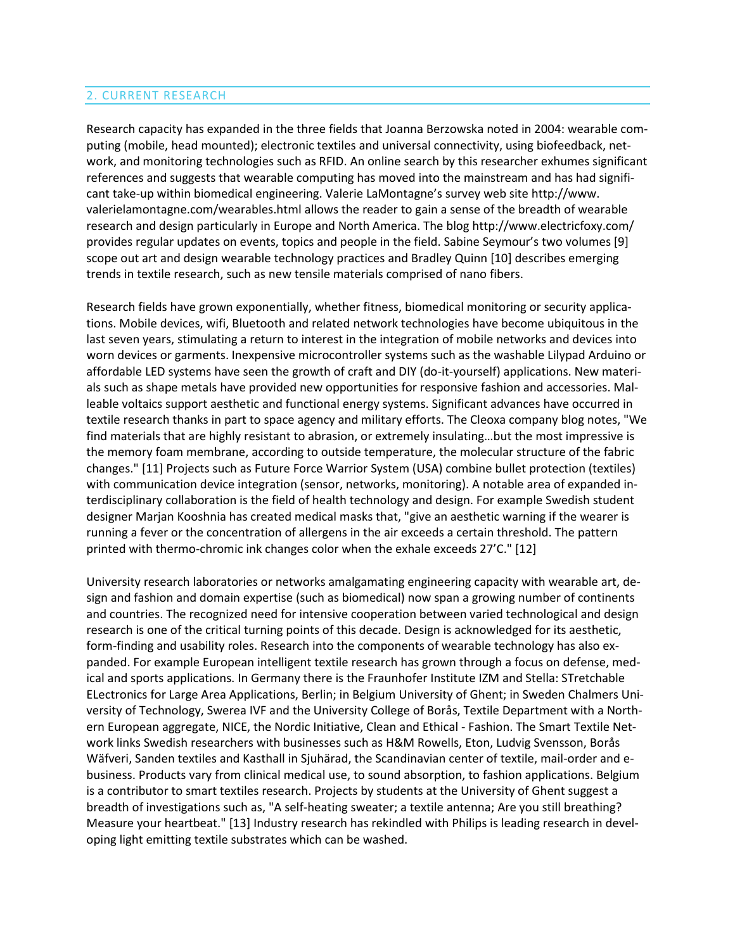## 2. CURRENT RESEARCH

Research capacity has expanded in the three fields that Joanna Berzowska noted in 2004: wearable computing (mobile, head mounted); electronic textiles and universal connectivity, using biofeedback, network, and monitoring technologies such as RFID. An online search by this researcher exhumes significant references and suggests that wearable computing has moved into the mainstream and has had significant take-up within biomedical engineering. Valerie LaMontagne's survey web site http://www. valerielamontagne.com/wearables.html allows the reader to gain a sense of the breadth of wearable research and design particularly in Europe and North America. The blog http://www.electricfoxy.com/ provides regular updates on events, topics and people in the field. Sabine Seymour's two volumes [9] scope out art and design wearable technology practices and Bradley Quinn [10] describes emerging trends in textile research, such as new tensile materials comprised of nano fibers.

Research fields have grown exponentially, whether fitness, biomedical monitoring or security applications. Mobile devices, wifi, Bluetooth and related network technologies have become ubiquitous in the last seven years, stimulating a return to interest in the integration of mobile networks and devices into worn devices or garments. Inexpensive microcontroller systems such as the washable Lilypad Arduino or affordable LED systems have seen the growth of craft and DIY (do-it-yourself) applications. New materials such as shape metals have provided new opportunities for responsive fashion and accessories. Malleable voltaics support aesthetic and functional energy systems. Significant advances have occurred in textile research thanks in part to space agency and military efforts. The Cleoxa company blog notes, "We find materials that are highly resistant to abrasion, or extremely insulating…but the most impressive is the memory foam membrane, according to outside temperature, the molecular structure of the fabric changes." [11] Projects such as Future Force Warrior System (USA) combine bullet protection (textiles) with communication device integration (sensor, networks, monitoring). A notable area of expanded interdisciplinary collaboration is the field of health technology and design. For example Swedish student designer Marjan Kooshnia has created medical masks that, "give an aesthetic warning if the wearer is running a fever or the concentration of allergens in the air exceeds a certain threshold. The pattern printed with thermo-chromic ink changes color when the exhale exceeds 27'C." [12]

University research laboratories or networks amalgamating engineering capacity with wearable art, design and fashion and domain expertise (such as biomedical) now span a growing number of continents and countries. The recognized need for intensive cooperation between varied technological and design research is one of the critical turning points of this decade. Design is acknowledged for its aesthetic, form-finding and usability roles. Research into the components of wearable technology has also expanded. For example European intelligent textile research has grown through a focus on defense, medical and sports applications. In Germany there is the Fraunhofer Institute IZM and Stella: STretchable ELectronics for Large Area Applications, Berlin; in Belgium University of Ghent; in Sweden Chalmers University of Technology, Swerea IVF and the University College of Borås, Textile Department with a Northern European aggregate, NICE, the Nordic Initiative, Clean and Ethical - Fashion. The Smart Textile Network links Swedish researchers with businesses such as H&M Rowells, Eton, Ludvig Svensson, Borås Wäfveri, Sanden textiles and Kasthall in Sjuhärad, the Scandinavian center of textile, mail-order and ebusiness. Products vary from clinical medical use, to sound absorption, to fashion applications. Belgium is a contributor to smart textiles research. Projects by students at the University of Ghent suggest a breadth of investigations such as, "A self-heating sweater; a textile antenna; Are you still breathing? Measure your heartbeat." [13] Industry research has rekindled with Philips is leading research in developing light emitting textile substrates which can be washed.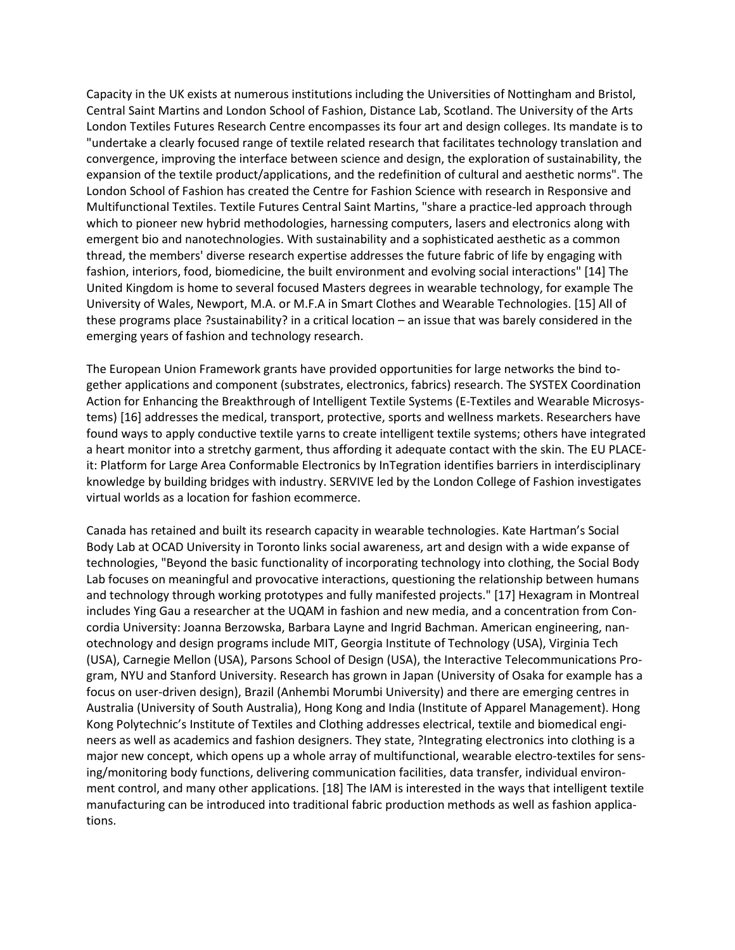Capacity in the UK exists at numerous institutions including the Universities of Nottingham and Bristol, Central Saint Martins and London School of Fashion, Distance Lab, Scotland. The University of the Arts London Textiles Futures Research Centre encompasses its four art and design colleges. Its mandate is to "undertake a clearly focused range of textile related research that facilitates technology translation and convergence, improving the interface between science and design, the exploration of sustainability, the expansion of the textile product/applications, and the redefinition of cultural and aesthetic norms". The London School of Fashion has created the Centre for Fashion Science with research in Responsive and Multifunctional Textiles. Textile Futures Central Saint Martins, "share a practice-led approach through which to pioneer new hybrid methodologies, harnessing computers, lasers and electronics along with emergent bio and nanotechnologies. With sustainability and a sophisticated aesthetic as a common thread, the members' diverse research expertise addresses the future fabric of life by engaging with fashion, interiors, food, biomedicine, the built environment and evolving social interactions" [14] The United Kingdom is home to several focused Masters degrees in wearable technology, for example The University of Wales, Newport, M.A. or M.F.A in Smart Clothes and Wearable Technologies. [15] All of these programs place ?sustainability? in a critical location – an issue that was barely considered in the emerging years of fashion and technology research.

The European Union Framework grants have provided opportunities for large networks the bind together applications and component (substrates, electronics, fabrics) research. The SYSTEX Coordination Action for Enhancing the Breakthrough of Intelligent Textile Systems (E-Textiles and Wearable Microsystems) [16] addresses the medical, transport, protective, sports and wellness markets. Researchers have found ways to apply conductive textile yarns to create intelligent textile systems; others have integrated a heart monitor into a stretchy garment, thus affording it adequate contact with the skin. The EU PLACEit: Platform for Large Area Conformable Electronics by InTegration identifies barriers in interdisciplinary knowledge by building bridges with industry. SERVIVE led by the London College of Fashion investigates virtual worlds as a location for fashion ecommerce.

Canada has retained and built its research capacity in wearable technologies. Kate Hartman's Social Body Lab at OCAD University in Toronto links social awareness, art and design with a wide expanse of technologies, "Beyond the basic functionality of incorporating technology into clothing, the Social Body Lab focuses on meaningful and provocative interactions, questioning the relationship between humans and technology through working prototypes and fully manifested projects." [17] Hexagram in Montreal includes Ying Gau a researcher at the UQAM in fashion and new media, and a concentration from Concordia University: Joanna Berzowska, Barbara Layne and Ingrid Bachman. American engineering, nanotechnology and design programs include MIT, Georgia Institute of Technology (USA), Virginia Tech (USA), Carnegie Mellon (USA), Parsons School of Design (USA), the Interactive Telecommunications Program, NYU and Stanford University. Research has grown in Japan (University of Osaka for example has a focus on user-driven design), Brazil (Anhembi Morumbi University) and there are emerging centres in Australia (University of South Australia), Hong Kong and India (Institute of Apparel Management). Hong Kong Polytechnic's Institute of Textiles and Clothing addresses electrical, textile and biomedical engineers as well as academics and fashion designers. They state, ?Integrating electronics into clothing is a major new concept, which opens up a whole array of multifunctional, wearable electro-textiles for sensing/monitoring body functions, delivering communication facilities, data transfer, individual environment control, and many other applications. [18] The IAM is interested in the ways that intelligent textile manufacturing can be introduced into traditional fabric production methods as well as fashion applications.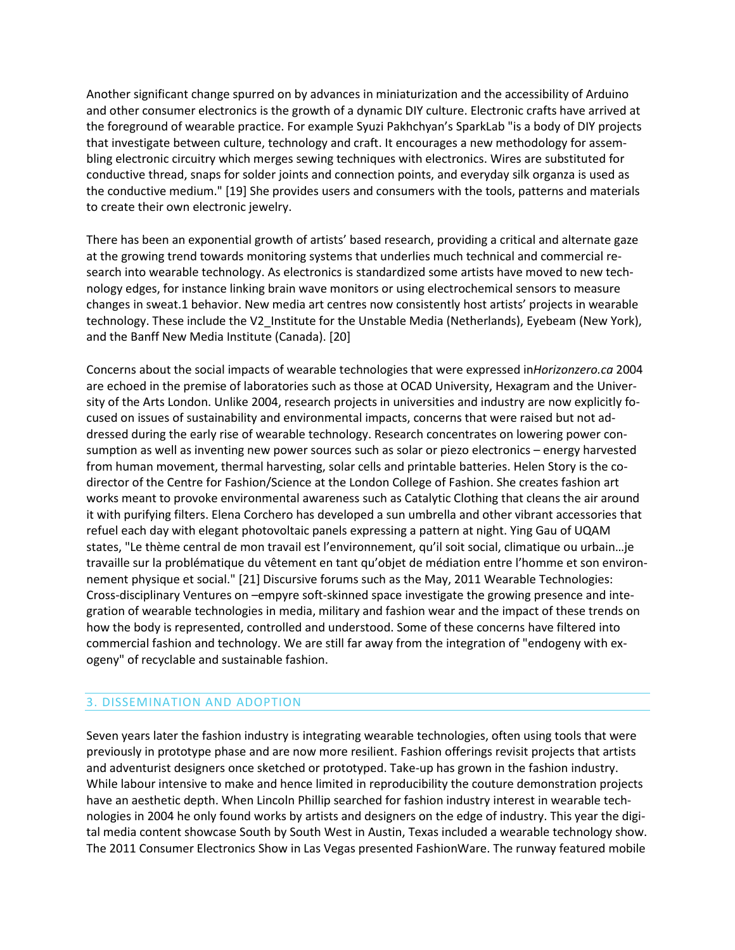Another significant change spurred on by advances in miniaturization and the accessibility of Arduino and other consumer electronics is the growth of a dynamic DIY culture. Electronic crafts have arrived at the foreground of wearable practice. For example Syuzi Pakhchyan's SparkLab "is a body of DIY projects that investigate between culture, technology and craft. It encourages a new methodology for assembling electronic circuitry which merges sewing techniques with electronics. Wires are substituted for conductive thread, snaps for solder joints and connection points, and everyday silk organza is used as the conductive medium." [19] She provides users and consumers with the tools, patterns and materials to create their own electronic jewelry.

There has been an exponential growth of artists' based research, providing a critical and alternate gaze at the growing trend towards monitoring systems that underlies much technical and commercial research into wearable technology. As electronics is standardized some artists have moved to new technology edges, for instance linking brain wave monitors or using electrochemical sensors to measure changes in sweat.1 behavior. New media art centres now consistently host artists' projects in wearable technology. These include the V2\_Institute for the Unstable Media (Netherlands), Eyebeam (New York), and the Banff New Media Institute (Canada). [20]

Concerns about the social impacts of wearable technologies that were expressed in*Horizonzero.ca* 2004 are echoed in the premise of laboratories such as those at OCAD University, Hexagram and the University of the Arts London. Unlike 2004, research projects in universities and industry are now explicitly focused on issues of sustainability and environmental impacts, concerns that were raised but not addressed during the early rise of wearable technology. Research concentrates on lowering power consumption as well as inventing new power sources such as solar or piezo electronics – energy harvested from human movement, thermal harvesting, solar cells and printable batteries. Helen Story is the codirector of the Centre for Fashion/Science at the London College of Fashion. She creates fashion art works meant to provoke environmental awareness such as Catalytic Clothing that cleans the air around it with purifying filters. Elena Corchero has developed a sun umbrella and other vibrant accessories that refuel each day with elegant photovoltaic panels expressing a pattern at night. Ying Gau of UQAM states, "Le thème central de mon travail est l'environnement, qu'il soit social, climatique ou urbain…je travaille sur la problématique du vêtement en tant qu'objet de médiation entre l'homme et son environnement physique et social." [21] Discursive forums such as the May, 2011 Wearable Technologies: Cross-disciplinary Ventures on –empyre soft-skinned space investigate the growing presence and integration of wearable technologies in media, military and fashion wear and the impact of these trends on how the body is represented, controlled and understood. Some of these concerns have filtered into commercial fashion and technology. We are still far away from the integration of "endogeny with exogeny" of recyclable and sustainable fashion.

### 3. DISSEMINATION AND ADOPTION

Seven years later the fashion industry is integrating wearable technologies, often using tools that were previously in prototype phase and are now more resilient. Fashion offerings revisit projects that artists and adventurist designers once sketched or prototyped. Take-up has grown in the fashion industry. While labour intensive to make and hence limited in reproducibility the couture demonstration projects have an aesthetic depth. When Lincoln Phillip searched for fashion industry interest in wearable technologies in 2004 he only found works by artists and designers on the edge of industry. This year the digital media content showcase South by South West in Austin, Texas included a wearable technology show. The 2011 Consumer Electronics Show in Las Vegas presented FashionWare. The runway featured mobile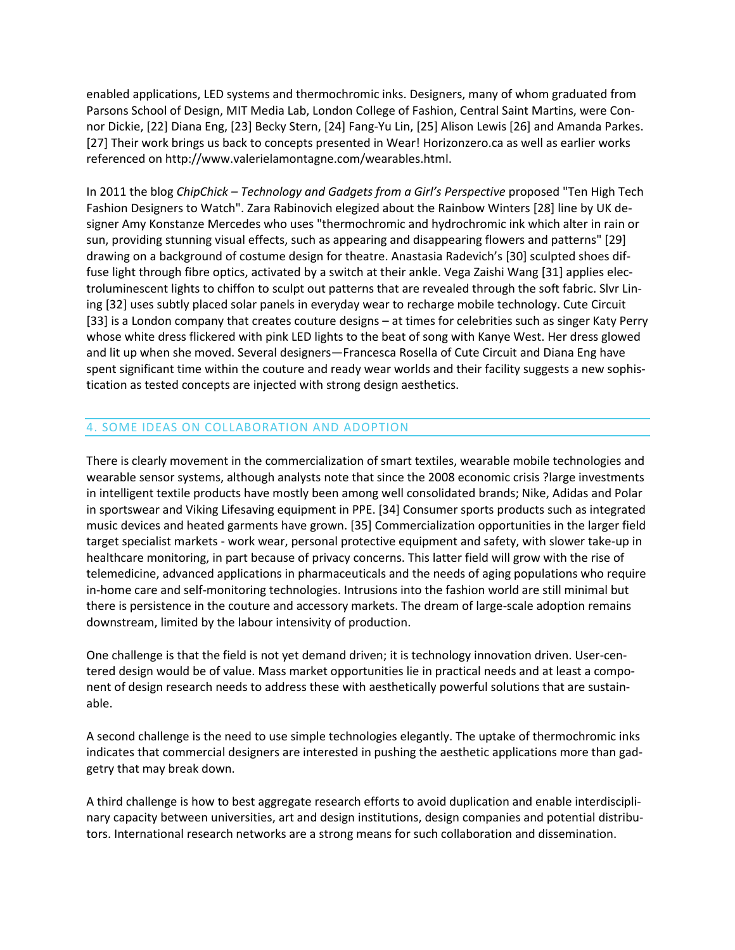enabled applications, LED systems and thermochromic inks. Designers, many of whom graduated from Parsons School of Design, MIT Media Lab, London College of Fashion, Central Saint Martins, were Connor Dickie, [22] Diana Eng, [23] Becky Stern, [24] Fang-Yu Lin, [25] Alison Lewis [26] and Amanda Parkes. [27] Their work brings us back to concepts presented in Wear! Horizonzero.ca as well as earlier works referenced on http://www.valerielamontagne.com/wearables.html.

In 2011 the blog *ChipChick – Technology and Gadgets from a Girl's Perspective* proposed "Ten High Tech Fashion Designers to Watch". Zara Rabinovich elegized about the Rainbow Winters [28] line by UK designer Amy Konstanze Mercedes who uses "thermochromic and hydrochromic ink which alter in rain or sun, providing stunning visual effects, such as appearing and disappearing flowers and patterns" [29] drawing on a background of costume design for theatre. Anastasia Radevich's [30] sculpted shoes diffuse light through fibre optics, activated by a switch at their ankle. Vega Zaishi Wang [31] applies electroluminescent lights to chiffon to sculpt out patterns that are revealed through the soft fabric. Slvr Lining [32] uses subtly placed solar panels in everyday wear to recharge mobile technology. Cute Circuit [33] is a London company that creates couture designs – at times for celebrities such as singer Katy Perry whose white dress flickered with pink LED lights to the beat of song with Kanye West. Her dress glowed and lit up when she moved. Several designers—Francesca Rosella of Cute Circuit and Diana Eng have spent significant time within the couture and ready wear worlds and their facility suggests a new sophistication as tested concepts are injected with strong design aesthetics.

## 4. SOME IDEAS ON COLLABORATION AND ADOPTION

There is clearly movement in the commercialization of smart textiles, wearable mobile technologies and wearable sensor systems, although analysts note that since the 2008 economic crisis ?large investments in intelligent textile products have mostly been among well consolidated brands; Nike, Adidas and Polar in sportswear and Viking Lifesaving equipment in PPE. [34] Consumer sports products such as integrated music devices and heated garments have grown. [35] Commercialization opportunities in the larger field target specialist markets - work wear, personal protective equipment and safety, with slower take-up in healthcare monitoring, in part because of privacy concerns. This latter field will grow with the rise of telemedicine, advanced applications in pharmaceuticals and the needs of aging populations who require in-home care and self-monitoring technologies. Intrusions into the fashion world are still minimal but there is persistence in the couture and accessory markets. The dream of large-scale adoption remains downstream, limited by the labour intensivity of production.

One challenge is that the field is not yet demand driven; it is technology innovation driven. User-centered design would be of value. Mass market opportunities lie in practical needs and at least a component of design research needs to address these with aesthetically powerful solutions that are sustainable.

A second challenge is the need to use simple technologies elegantly. The uptake of thermochromic inks indicates that commercial designers are interested in pushing the aesthetic applications more than gadgetry that may break down.

A third challenge is how to best aggregate research efforts to avoid duplication and enable interdisciplinary capacity between universities, art and design institutions, design companies and potential distributors. International research networks are a strong means for such collaboration and dissemination.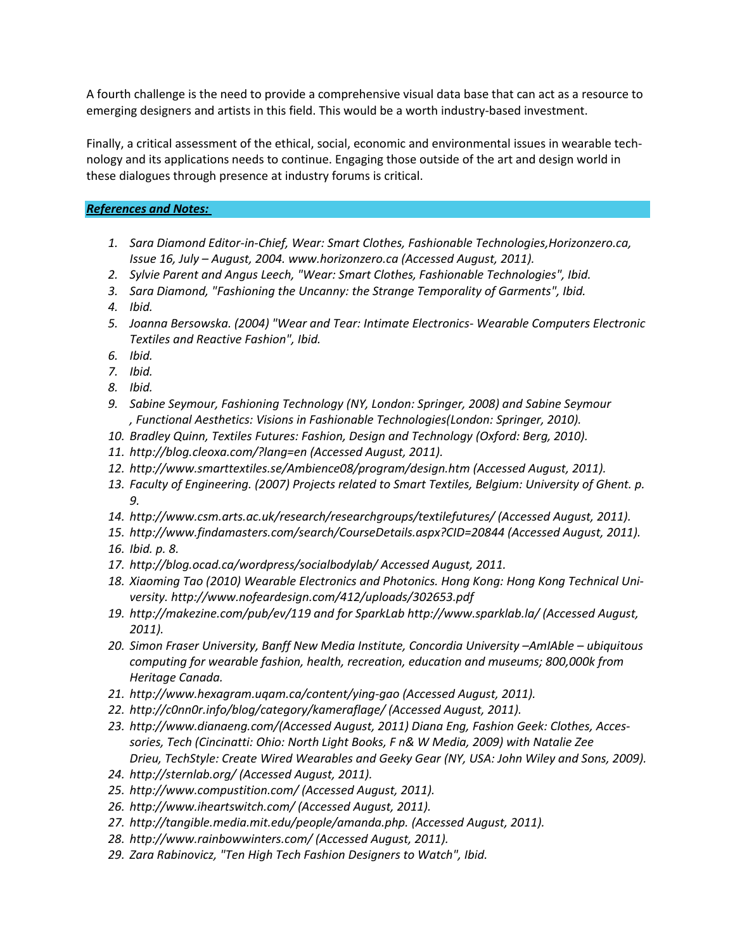A fourth challenge is the need to provide a comprehensive visual data base that can act as a resource to emerging designers and artists in this field. This would be a worth industry-based investment.

Finally, a critical assessment of the ethical, social, economic and environmental issues in wearable technology and its applications needs to continue. Engaging those outside of the art and design world in these dialogues through presence at industry forums is critical.

## *References and Notes:*

- *1. Sara Diamond Editor-in-Chief, Wear: Smart Clothes, Fashionable Technologies,Horizonzero.ca, Issue 16, July – August, 2004. www.horizonzero.ca (Accessed August, 2011).*
- *2. Sylvie Parent and Angus Leech, "Wear: Smart Clothes, Fashionable Technologies", Ibid.*
- *3. Sara Diamond, "Fashioning the Uncanny: the Strange Temporality of Garments", Ibid.*
- *4. Ibid.*
- *5. Joanna Bersowska. (2004) "Wear and Tear: Intimate Electronics- Wearable Computers Electronic Textiles and Reactive Fashion", Ibid.*
- *6. Ibid.*
- *7. Ibid.*
- *8. Ibid.*
- *9. Sabine Seymour, Fashioning Technology (NY, London: Springer, 2008) and Sabine Seymour , Functional Aesthetics: Visions in Fashionable Technologies(London: Springer, 2010).*
- *10. Bradley Quinn, Textiles Futures: Fashion, Design and Technology (Oxford: Berg, 2010).*
- *11. http://blog.cleoxa.com/?lang=en (Accessed August, 2011).*
- *12. http://www.smarttextiles.se/Ambience08/program/design.htm (Accessed August, 2011).*
- *13. Faculty of Engineering. (2007) Projects related to Smart Textiles, Belgium: University of Ghent. p. 9.*
- *14. http://www.csm.arts.ac.uk/research/researchgroups/textilefutures/ (Accessed August, 2011).*
- *15. http://www.findamasters.com/search/CourseDetails.aspx?CID=20844 (Accessed August, 2011).*
- *16. Ibid. p. 8.*
- *17. http://blog.ocad.ca/wordpress/socialbodylab/ Accessed August, 2011.*
- *18. Xiaoming Tao (2010) Wearable Electronics and Photonics. Hong Kong: Hong Kong Technical University. http://www.nofeardesign.com/412/uploads/302653.pdf*
- *19. http://makezine.com/pub/ev/119 and for SparkLab http://www.sparklab.la/ (Accessed August, 2011).*
- 20. Simon Fraser University, Banff New Media Institute, Concordia University  $-Am$ IAble  $-$  ubiquitous *computing for wearable fashion, health, recreation, education and museums; 800,000k from Heritage Canada.*
- *21. http://www.hexagram.uqam.ca/content/ying-gao (Accessed August, 2011).*
- *22. http://c0nn0r.info/blog/category/kameraflage/ (Accessed August, 2011).*
- *23. http://www.dianaeng.com/(Accessed August, 2011) Diana Eng, Fashion Geek: Clothes, Accessories, Tech (Cincinatti: Ohio: North Light Books, F n& W Media, 2009) with Natalie Zee Drieu, TechStyle: Create Wired Wearables and Geeky Gear (NY, USA: John Wiley and Sons, 2009).*
- *24. http://sternlab.org/ (Accessed August, 2011).*
- *25. http://www.compustition.com/ (Accessed August, 2011).*
- *26. http://www.iheartswitch.com/ (Accessed August, 2011).*
- *27. http://tangible.media.mit.edu/people/amanda.php. (Accessed August, 2011).*
- *28. http://www.rainbowwinters.com/ (Accessed August, 2011).*
- *29. Zara Rabinovicz, "Ten High Tech Fashion Designers to Watch", Ibid.*